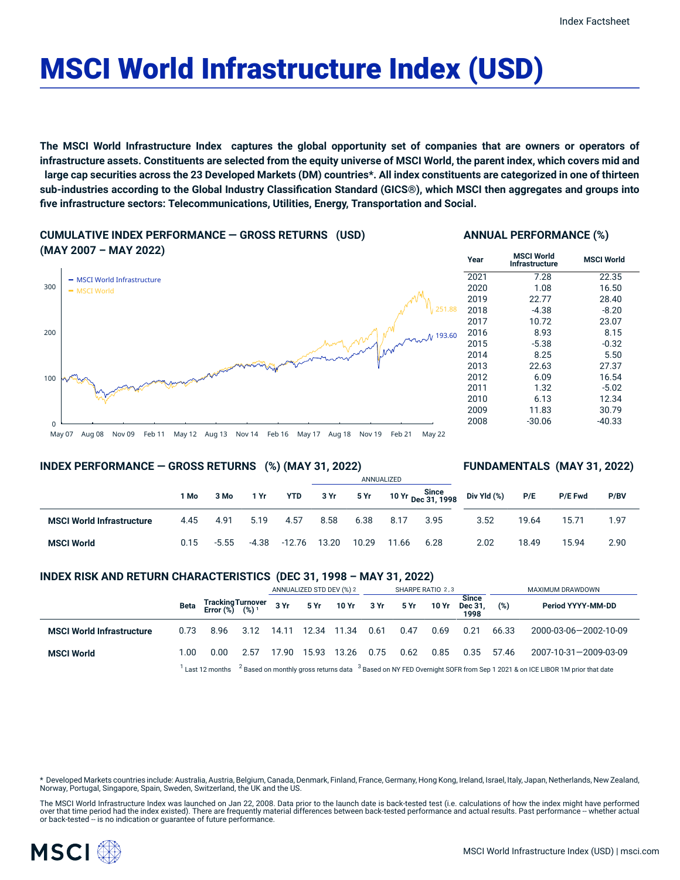# MSCI World Infrastructure Index (USD)

The MSCI World Infrastructure Index captures the global opportunity set of companies that are owners or operators of infrastructure assets. Constituents are selected from the equity universe of MSCI World, the parent index, which covers mid and large cap securities across the 23 Developed Markets (DM) countries\*. All index constituents are categorized in one of thirteen sub-industries according to the Global Industry Classification Standard (GICS®), which MSCI then aggregates and groups into **five infrastructure sectors: Telecommunications, Utilities, Energy, Transportation and Social.**

**CUMULATIVE INDEX PERFORMANCE — GROSS RETURNS (USD) (MAY 2007 – MAY 2022)**





#### **INDEX PERFORMANCE — GROSS RETURNS (%) (MAY 31, 2022)**

#### **FUNDAMENTALS (MAY 31, 2022)**

|                                  |      |         |       |            | ANNUALIZED |       |       |                                    |             |       |         |      |
|----------------------------------|------|---------|-------|------------|------------|-------|-------|------------------------------------|-------------|-------|---------|------|
|                                  | 1 Mo | 3 Mo    | 1 Yr  | <b>YTD</b> | 3 Yr       | 5 Yr  |       | 10 Yr Since<br>1998 - Dec 31, 1998 | Div Yld (%) | P/E   | P/E Fwd | P/BV |
| <b>MSCI World Infrastructure</b> | 4.45 | 4.91    | 5.19  | 4.57       | 8.58       | 6.38  | 8.17  | 3.95                               | 3.52        | 19.64 | 15.71   | 1.97 |
| <b>MSCI World</b>                | 0.15 | $-5.55$ | -4.38 | -12.76     | 13.20      | 10.29 | 11.66 | 6.28                               | 2.02        | 18.49 | 15.94   | 2.90 |

#### **INDEX RISK AND RETURN CHARACTERISTICS (DEC 31, 1998 – MAY 31, 2022)**

|                                  |      |                                                                                                                                                         |      | ANNUALIZED STD DEV (%) 2 |       |            | SHARPE RATIO 2,3 |      |       |                                 | MAXIMUM DRAWDOWN |                       |  |
|----------------------------------|------|---------------------------------------------------------------------------------------------------------------------------------------------------------|------|--------------------------|-------|------------|------------------|------|-------|---------------------------------|------------------|-----------------------|--|
|                                  | Beta | Tracking Turnover<br>Error (%) (%) <sup>1</sup>                                                                                                         |      | 3 Yr                     |       | 5 Yr 10 Yr | 3 Yr             | 5 Yr | 10 Yr | <b>Since</b><br>Dec 31.<br>1998 | (%)              | Period YYYY-MM-DD     |  |
| <b>MSCI World Infrastructure</b> | 0.73 | 8.96                                                                                                                                                    | 3.12 | 14.11                    | 12.34 | 11.34      | 0.61             | 0.47 | 0.69  | 0.21                            | 66.33            | 2000-03-06-2002-10-09 |  |
| <b>MSCI World</b>                | 1.00 | 0.00                                                                                                                                                    | 2.57 | 17.90                    | 15.93 | 13.26      | 0.75             | 0.62 | 0.85  | 0.35                            | 57.46            | 2007-10-31-2009-03-09 |  |
|                                  |      | <sup>2</sup> Based on monthly gross returns data $3$ Based on NY FED Overnight SOFR from Sep 1 2021 & on ICE LIBOR 1M prior that date<br>Last 12 months |      |                          |       |            |                  |      |       |                                 |                  |                       |  |

Developed Markets countries include: Australia, Austria, Belgium, Canada, Denmark, Finland, France, Germany, Hong Kong, Ireland, Israel, Italy, Japan, Netherlands, New Zealand, Norway, Portugal, Singapore, Spain, Sweden, Switzerland, the UK and the US.

The MSCI World Infrastructure Index was launched on Jan 22, 2008. Data prior to the launch date is back-tested test (i.e. calculations of how the index might have performed<br>over that time period had the index existed). The or back-tested -- is no indication or guarantee of future performance.

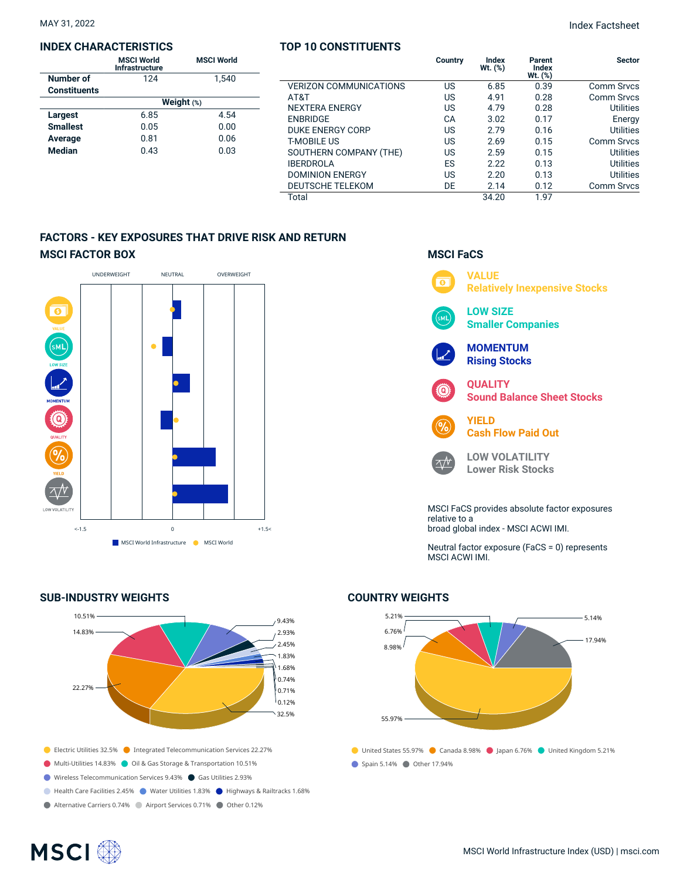MAY 31, 2022 Index Factsheet

#### **INDEX CHARACTERISTICS**

|                     | <b>MSCI World</b><br>Infrastructure | <b>MSCI World</b> |  |  |  |  |  |
|---------------------|-------------------------------------|-------------------|--|--|--|--|--|
| Number of           | 124                                 | 1.540             |  |  |  |  |  |
| <b>Constituents</b> |                                     |                   |  |  |  |  |  |
|                     | Weight (%)                          |                   |  |  |  |  |  |
| <b>Largest</b>      | 6.85                                | 4.54              |  |  |  |  |  |
| <b>Smallest</b>     | 0.05                                | 0.00              |  |  |  |  |  |
| Average             | 0.81                                | 0.06              |  |  |  |  |  |
| <b>Median</b>       | 0.43                                | 0.03              |  |  |  |  |  |

# **TOP 10 CONSTITUENTS Country Index**

| Country | Index<br>Wt. (%) | Parent<br>Index<br>$Wt.$ $(\%)$ | <b>Sector</b>     |
|---------|------------------|---------------------------------|-------------------|
| US      | 6.85             | 0.39                            | <b>Comm Srvcs</b> |
| US      | 4.91             | 0.28                            | Comm Srvcs        |
| US      | 4.79             | 0.28                            | <b>Utilities</b>  |
| CA      | 3.02             | 0.17                            | Energy            |
| US      | 2.79             | 0.16                            | Utilities         |
| US      | 2.69             | 0.15                            | <b>Comm Srvcs</b> |
| US      | 2.59             | 0.15                            | Utilities         |
| ES      | 2.22             | 0.13                            | Utilities         |
| US      | 2.20             | 0.13                            | Utilities         |
| DE      | 2.14             | 0.12                            | <b>Comm Srvcs</b> |
|         | 34.20            | 1.97                            |                   |
|         |                  |                                 |                   |

## **FACTORS - KEY EXPOSURES THAT DRIVE RISK AND RETURN MSCI FACTOR BOX**



#### **SUB-INDUSTRY WEIGHTS**



### **MSCI FaCS VALUE**  $\overline{\bullet}$ **Relatively Inexpensive Stocks LOW SIZE**

**Smaller Companies**

**MOMENTUM Rising Stocks**

 $\wedge N$ 

**QUALITY Sound Balance Sheet Stocks**



**LOW VOLATILITY Lower Risk Stocks**

MSCI FaCS provides absolute factor exposures relative to a broad global index - MSCI ACWI IMI.

Neutral factor exposure (FaCS = 0) represents MSCI ACWI IMI.

## United States 55.97% Canada 8.98% Japan 6.76% United Kingdom 5.21% ● Spain 5.14% ● Other 17.94% 5.21% 6.76% 8.98% 55.97%  $-5.14%$ 17.94%

#### **COUNTRY WEIGHTS**